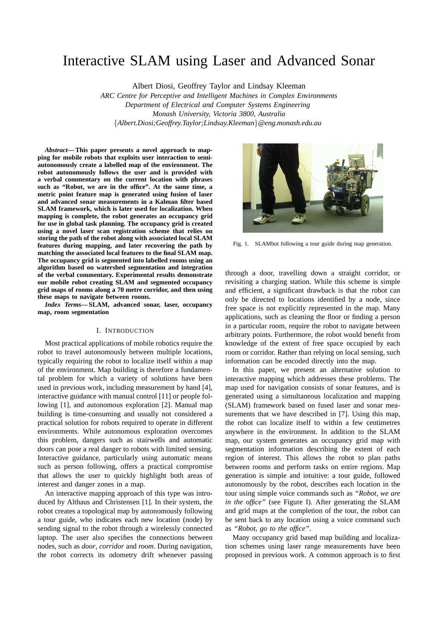# Interactive SLAM using Laser and Advanced Sonar

Albert Diosi, Geoffrey Taylor and Lindsay Kleeman

*ARC Centre for Perceptive and Intelligent Machines in Complex Environments Department of Electrical and Computer Systems Engineering Monash University, Victoria 3800, Australia* {*Albert.Diosi;Geoffrey.Taylor;Lindsay.Kleeman*}*@eng.monash.edu.au*

*Abstract***— This paper presents a novel approach to mapping for mobile robots that exploits user interaction to semiautonomously create a labelled map of the environment. The robot autonomously follows the user and is provided with a verbal commentary on the current location with phrases such as "Robot, we are in the office". At the same time, a metric point feature map is generated using fusion of laser and advanced sonar measurements in a Kalman filter based SLAM framework, which is later used for localization. When mapping is complete, the robot generates an occupancy grid for use in global task planning. The occupancy grid is created using a novel laser scan registration scheme that relies on storing the path of the robot along with associated local SLAM features during mapping, and later recovering the path by matching the associated local features to the final SLAM map. The occupancy grid is segmented into labelled rooms using an algorithm based on watershed segmentation and integration of the verbal commentary. Experimental results demonstrate our mobile robot creating SLAM and segmented occupancy grid maps of rooms along a 70 metre corridor, and then using these maps to navigate between rooms.**

*Index Terms***— SLAM, advanced sonar, laser, occupancy map, room segmentation**

#### I. INTRODUCTION

Most practical applications of mobile robotics require the robot to travel autonomously between multiple locations, typically requiring the robot to localize itself within a map of the environment. Map building is therefore a fundamental problem for which a variety of solutions have been used in previous work, including measurement by hand [4], interactive guidance with manual control [11] or people following [1], and autonomous exploration [2]. Manual map building is time-consuming and usually not considered a practical solution for robots required to operate in different environments. While autonomous exploration overcomes this problem, dangers such as stairwells and automatic doors can pose a real danger to robots with limited sensing. Interactive guidance, particularly using automatic means such as person following, offers a practical compromise that allows the user to quickly highlight both areas of interest and danger zones in a map.

An interactive mapping approach of this type was introduced by Althaus and Christensen [1]. In their system, the robot creates a topological map by autonomously following a tour guide, who indicates each new location (node) by sending signal to the robot through a wirelessly connected laptop. The user also specifies the connections between nodes, such as *door*, *corridor* and *room*. During navigation, the robot corrects its odometry drift whenever passing



Fig. 1. SLAMbot following a tour guide during map generation.

through a door, travelling down a straight corridor, or revisiting a charging station. While this scheme is simple and efficient, a significant drawback is that the robot can only be directed to locations identified by a node, since free space is not explicitly represented in the map. Many applications, such as cleaning the floor or finding a person in a particular room, require the robot to navigate between arbitrary points. Furthermore, the robot would benefit from knowledge of the extent of free space occupied by each room or corridor. Rather than relying on local sensing, such information can be encoded directly into the map.

In this paper, we present an alternative solution to interactive mapping which addresses these problems. The map used for navigation consists of sonar features, and is generated using a simultaneous localization and mapping (SLAM) framework based on fused laser and sonar measurements that we have described in [7]. Using this map, the robot can localize itself to within a few centimetres anywhere in the environment. In addition to the SLAM map, our system generates an occupancy grid map with segmentation information describing the extent of each region of interest. This allows the robot to plan paths between rooms and perform tasks on entire regions. Map generation is simple and intuitive: a tour guide, followed autonomously by the robot, describes each location in the tour using simple voice commands such as *"Robot, we are in the office"* (see Figure I). After generating the SLAM and grid maps at the completion of the tour, the robot can be sent back to any location using a voice command such as *"Robot, go to the office"*.

Many occupancy grid based map building and localization schemes using laser range measurements have been proposed in previous work. A common approach is to first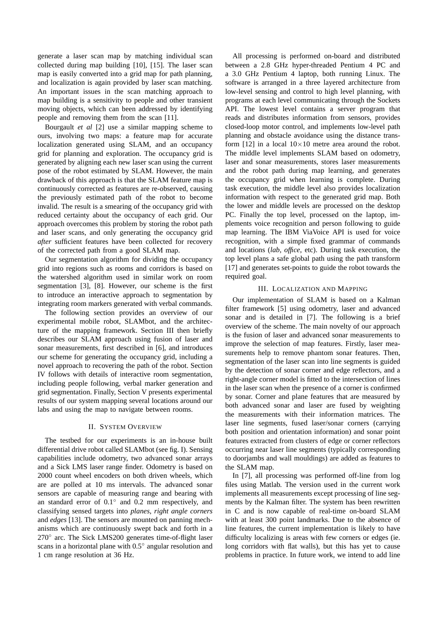generate a laser scan map by matching individual scan collected during map building [10], [15]. The laser scan map is easily converted into a grid map for path planning, and localization is again provided by laser scan matching. An important issues in the scan matching approach to map building is a sensitivity to people and other transient moving objects, which can been addressed by identifying people and removing them from the scan [11].

Bourgault *et al* [2] use a similar mapping scheme to ours, involving two maps: a feature map for accurate localization generated using SLAM, and an occupancy grid for planning and exploration. The occupancy grid is generated by aligning each new laser scan using the current pose of the robot estimated by SLAM. However, the main drawback of this approach is that the SLAM feature map is continuously corrected as features are re-observed, causing the previously estimated path of the robot to become invalid. The result is a smearing of the occupancy grid with reduced certainty about the occupancy of each grid. Our approach overcomes this problem by storing the robot path and laser scans, and only generating the occupancy grid *after* sufficient features have been collected for recovery of the corrected path from a good SLAM map.

Our segmentation algorithm for dividing the occupancy grid into regions such as rooms and corridors is based on the watershed algorithm used in similar work on room segmentation [3], [8]. However, our scheme is the first to introduce an interactive approach to segmentation by integrating room markers generated with verbal commands.

The following section provides an overview of our experimental mobile robot, SLAMbot, and the architecture of the mapping framework. Section III then briefly describes our SLAM approach using fusion of laser and sonar measurements, first described in [6], and introduces our scheme for generating the occupancy grid, including a novel approach to recovering the path of the robot. Section IV follows with details of interactive room segmentation, including people following, verbal marker generation and grid segmentation. Finally, Section V presents experimental results of our system mapping several locations around our labs and using the map to navigate between rooms.

#### II. SYSTEM OVERVIEW

The testbed for our experiments is an in-house built differential drive robot called SLAMbot (see fig. I). Sensing capabilities include odometry, two advanced sonar arrays and a Sick LMS laser range finder. Odometry is based on 2000 count wheel encoders on both driven wheels, which are are polled at 10 ms intervals. The advanced sonar sensors are capable of measuring range and bearing with an standard error of  $0.1°$  and  $0.2$  mm respectively, and classifying sensed targets into *planes*, *right angle corners* and *edges* [13]. The sensors are mounted on panning mechanisms which are continuously swept back and forth in a 270° arc. The Sick LMS200 generates time-of-flight laser scans in a horizontal plane with 0.5° angular resolution and 1 cm range resolution at 36 Hz.

All processing is performed on-board and distributed between a 2.8 GHz hyper-threaded Pentium 4 PC and a 3.0 GHz Pentium 4 laptop, both running Linux. The software is arranged in a three layered architecture from low-level sensing and control to high level planning, with programs at each level communicating through the Sockets API. The lowest level contains a server program that reads and distributes information from sensors, provides closed-loop motor control, and implements low-level path planning and obstacle avoidance using the distance transform [12] in a local  $10\times10$  metre area around the robot. The middle level implements SLAM based on odometry, laser and sonar measurements, stores laser measurements and the robot path during map learning, and generates the occupancy grid when learning is complete. During task execution, the middle level also provides localization information with respect to the generated grid map. Both the lower and middle levels are processed on the desktop PC. Finally the top level, processed on the laptop, implements voice recognition and person following to guide map learning. The IBM ViaVoice API is used for voice recognition, with a simple fixed grammar of commands and locations (*lab*, *office*, etc). During task execution, the top level plans a safe global path using the path transform [17] and generates set-points to guide the robot towards the required goal.

#### III. LOCALIZATION AND MAPPING

Our implementation of SLAM is based on a Kalman filter framework [5] using odometry, laser and advanced sonar and is detailed in [7]. The following is a brief overview of the scheme. The main novelty of our approach is the fusion of laser and advanced sonar measurements to improve the selection of map features. Firstly, laser measurements help to remove phantom sonar features. Then, segmentation of the laser scan into line segments is guided by the detection of sonar corner and edge reflectors, and a right-angle corner model is fitted to the intersection of lines in the laser scan when the presence of a corner is confirmed by sonar. Corner and plane features that are measured by both advanced sonar and laser are fused by weighting the measurements with their information matrices. The laser line segments, fused laser/sonar corners (carrying both position and orientation information) and sonar point features extracted from clusters of edge or corner reflectors occurring near laser line segments (typically corresponding to doorjambs and wall mouldings) are added as features to the SLAM map.

In [7], all processing was performed off-line from log files using Matlab. The version used in the current work implements all measurements except processing of line segments by the Kalman filter. The system has been rewritten in C and is now capable of real-time on-board SLAM with at least 300 point landmarks. Due to the absence of line features, the current implementation is likely to have difficulty localizing is areas with few corners or edges (ie. long corridors with flat walls), but this has yet to cause problems in practice. In future work, we intend to add line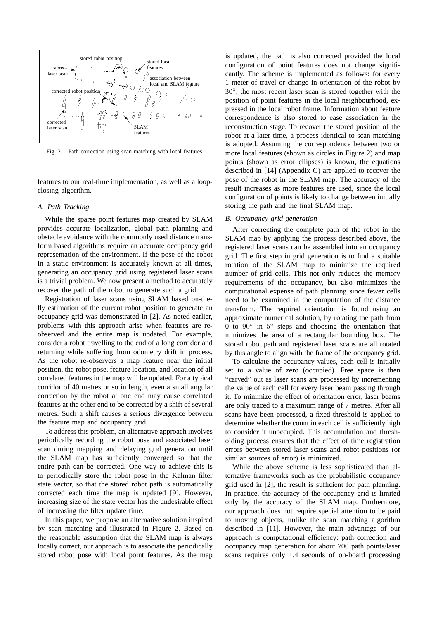

Fig. 2. Path correction using scan matching with local features.

features to our real-time implementation, as well as a loopclosing algorithm.

# *A. Path Tracking*

While the sparse point features map created by SLAM provides accurate localization, global path planning and obstacle avoidance with the commonly used distance transform based algorithms require an accurate occupancy grid representation of the environment. If the pose of the robot in a static environment is accurately known at all times, generating an occupancy grid using registered laser scans is a trivial problem. We now present a method to accurately recover the path of the robot to generate such a grid.

Registration of laser scans using SLAM based on-thefly estimation of the current robot position to generate an occupancy grid was demonstrated in [2]. As noted earlier, problems with this approach arise when features are reobserved and the entire map is updated. For example, consider a robot travelling to the end of a long corridor and returning while suffering from odometry drift in process. As the robot re-observers a map feature near the initial position, the robot pose, feature location, and location of all correlated features in the map will be updated. For a typical corridor of 40 metres or so in length, even a small angular correction by the robot at one end may cause correlated features at the other end to be corrected by a shift of several metres. Such a shift causes a serious divergence between the feature map and occupancy grid.

To address this problem, an alternative approach involves periodically recording the robot pose and associated laser scan during mapping and delaying grid generation until the SLAM map has sufficiently converged so that the entire path can be corrected. One way to achieve this is to periodically store the robot pose in the Kalman filter state vector, so that the stored robot path is automatically corrected each time the map is updated [9]. However, increasing size of the state vector has the undesirable effect of increasing the filter update time.

In this paper, we propose an alternative solution inspired by scan matching and illustrated in Figure 2. Based on the reasonable assumption that the SLAM map is always locally correct, our approach is to associate the periodically stored robot pose with local point features. As the map is updated, the path is also corrected provided the local configuration of point features does not change significantly. The scheme is implemented as follows: for every 1 meter of travel or change in orientation of the robot by 30◦ , the most recent laser scan is stored together with the position of point features in the local neighbourhood, expressed in the local robot frame. Information about feature correspondence is also stored to ease association in the reconstruction stage. To recover the stored position of the robot at a later time, a process identical to scan matching is adopted. Assuming the correspondence between two or more local features (shown as circles in Figure 2) and map points (shown as error ellipses) is known, the equations described in [14] (Appendix C) are applied to recover the pose of the robot in the SLAM map. The accuracy of the result increases as more features are used, since the local configuration of points is likely to change between initially storing the path and the final SLAM map.

#### *B. Occupancy grid generation*

After correcting the complete path of the robot in the SLAM map by applying the process described above, the registered laser scans can be assembled into an occupancy grid. The first step in grid generation is to find a suitable rotation of the SLAM map to minimize the required number of grid cells. This not only reduces the memory requirements of the occupancy, but also minimizes the computational expense of path planning since fewer cells need to be examined in the computation of the distance transform. The required orientation is found using an approximate numerical solution, by rotating the path from 0 to 90◦ in 5 ◦ steps and choosing the orientation that minimizes the area of a rectangular bounding box. The stored robot path and registered laser scans are all rotated by this angle to align with the frame of the occupancy grid.

To calculate the occupancy values, each cell is initially set to a value of zero (occupied). Free space is then "carved" out as laser scans are processed by incrementing the value of each cell for every laser beam passing through it. To minimize the effect of orientation error, laser beams are only traced to a maximum range of 7 metres. After all scans have been processed, a fixed threshold is applied to determine whether the count in each cell is sufficiently high to consider it unoccupied. This accumulation and thresholding process ensures that the effect of time registration errors between stored laser scans and robot positions (or similar sources of error) is minimized.

While the above scheme is less sophisticated than alternative frameworks such as the probabilistic occupancy grid used in [2], the result is sufficient for path planning. In practice, the accuracy of the occupancy grid is limited only by the accuracy of the SLAM map. Furthermore, our approach does not require special attention to be paid to moving objects, unlike the scan matching algorithm described in [11]. However, the main advantage of our approach is computational efficiency: path correction and occupancy map generation for about 700 path points/laser scans requires only 1.4 seconds of on-board processing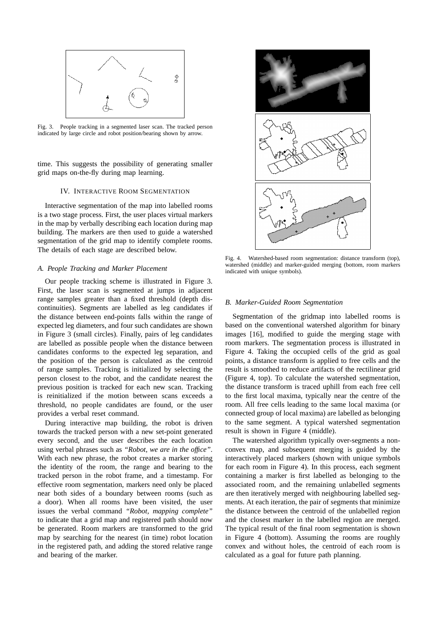

Fig. 3. People tracking in a segmented laser scan. The tracked person indicated by large circle and robot position/bearing shown by arrow.

time. This suggests the possibility of generating smaller grid maps on-the-fly during map learning.

# IV. INTERACTIVE ROOM SEGMENTATION

Interactive segmentation of the map into labelled rooms is a two stage process. First, the user places virtual markers in the map by verbally describing each location during map building. The markers are then used to guide a watershed segmentation of the grid map to identify complete rooms. The details of each stage are described below.

## *A. People Tracking and Marker Placement*

Our people tracking scheme is illustrated in Figure 3. First, the laser scan is segmented at jumps in adjacent range samples greater than a fixed threshold (depth discontinuities). Segments are labelled as leg candidates if the distance between end-points falls within the range of expected leg diameters, and four such candidates are shown in Figure 3 (small circles). Finally, pairs of leg candidates are labelled as possible people when the distance between candidates conforms to the expected leg separation, and the position of the person is calculated as the centroid of range samples. Tracking is initialized by selecting the person closest to the robot, and the candidate nearest the previous position is tracked for each new scan. Tracking is reinitialized if the motion between scans exceeds a threshold, no people candidates are found, or the user provides a verbal reset command.

During interactive map building, the robot is driven towards the tracked person with a new set-point generated every second, and the user describes the each location using verbal phrases such as *"Robot, we are in the office"*. With each new phrase, the robot creates a marker storing the identity of the room, the range and bearing to the tracked person in the robot frame, and a timestamp. For effective room segmentation, markers need only be placed near both sides of a boundary between rooms (such as a door). When all rooms have been visited, the user issues the verbal command *"Robot, mapping complete"* to indicate that a grid map and registered path should now be generated. Room markers are transformed to the grid map by searching for the nearest (in time) robot location in the registered path, and adding the stored relative range and bearing of the marker.



Fig. 4. Watershed-based room segmentation: distance transform (top), watershed (middle) and marker-guided merging (bottom, room markers indicated with unique symbols).

## *B. Marker-Guided Room Segmentation*

Segmentation of the gridmap into labelled rooms is based on the conventional watershed algorithm for binary images [16], modified to guide the merging stage with room markers. The segmentation process is illustrated in Figure 4. Taking the occupied cells of the grid as goal points, a distance transform is applied to free cells and the result is smoothed to reduce artifacts of the rectilinear grid (Figure 4, top). To calculate the watershed segmentation, the distance transform is traced uphill from each free cell to the first local maxima, typically near the centre of the room. All free cells leading to the same local maxima (or connected group of local maxima) are labelled as belonging to the same segment. A typical watershed segmentation result is shown in Figure 4 (middle).

The watershed algorithm typically over-segments a nonconvex map, and subsequent merging is guided by the interactively placed markers (shown with unique symbols for each room in Figure 4). In this process, each segment containing a marker is first labelled as belonging to the associated room, and the remaining unlabelled segments are then iteratively merged with neighbouring labelled segments. At each iteration, the pair of segments that minimize the distance between the centroid of the unlabelled region and the closest marker in the labelled region are merged. The typical result of the final room segmentation is shown in Figure 4 (bottom). Assuming the rooms are roughly convex and without holes, the centroid of each room is calculated as a goal for future path planning.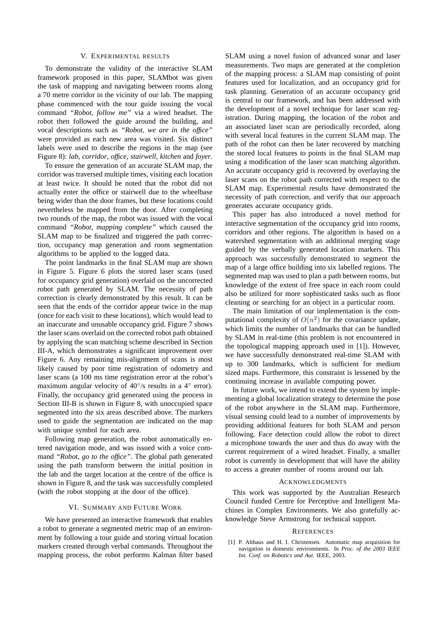# V. EXPERIMENTAL RESULTS

To demonstrate the validity of the interactive SLAM framework proposed in this paper, SLAMbot was given the task of mapping and navigating between rooms along a 70 metre corridor in the vicinity of our lab. The mapping phase commenced with the tour guide issuing the vocal command *"Robot, follow me"* via a wired headset. The robot then followed the guide around the building, and vocal descriptions such as *"Robot, we are in the office"* were provided as each new area was visited. Six distinct labels were used to describe the regions in the map (see Figure 8): *lab*, *corridor*, *office*, *stairwell*, *kitchen* and *foyer*.

To ensure the generation of an accurate SLAM map, the corridor was traversed multiple times, visiting each location at least twice. It should be noted that the robot did not actually enter the office or stairwell due to the wheelbase being wider than the door frames, but these locations could nevertheless be mapped from the door. After completing two rounds of the map, the robot was issued with the vocal command *"Robot, mapping complete"* which caused the SLAM map to be finalized and triggered the path correction, occupancy map generation and room segmentation algorithms to be applied to the logged data.

The point landmarks in the final SLAM map are shown in Figure 5. Figure 6 plots the stored laser scans (used for occupancy grid generation) overlaid on the uncorrected robot path generated by SLAM. The necessity of path correction is clearly demonstrated by this result. It can be seen that the ends of the corridor appear twice in the map (once for each visit to these locations), which would lead to an inaccurate and unusable occupancy grid. Figure 7 shows the laser scans overlaid on the corrected robot path obtained by applying the scan matching scheme described in Section III-A, which demonstrates a significant improvement over Figure 6. Any remaining mis-alignment of scans is most likely caused by poor time registration of odometry and laser scans (a 100 ms time registration error at the robot's maximum angular velocity of 40°/s results in a 4° error). Finally, the occupancy grid generated using the process in Section III-B is shown in Figure 8, with unoccupied space segmented into the six areas described above. The markers used to guide the segmentation are indicated on the map with unique symbol for each area.

Following map generation, the robot automatically entered navigation mode, and was issued with a voice command *"Robot, go to the office"*. The global path generated using the path transform between the initial position in the lab and the target location at the centre of the office is shown in Figure 8, and the task was successfully completed (with the robot stopping at the door of the office).

## VI. SUMMARY AND FUTURE WORK

We have presented an interactive framework that enables a robot to generate a segmented metric map of an environment by following a tour guide and storing virtual location markers created through verbal commands. Throughout the mapping process, the robot performs Kalman filter based SLAM using a novel fusion of advanced sonar and laser measurements. Two maps are generated at the completion of the mapping process: a SLAM map consisting of point features used for localization, and an occupancy grid for task planning. Generation of an accurate occupancy grid is central to our framework, and has been addressed with the development of a novel technique for laser scan registration. During mapping, the location of the robot and an associated laser scan are periodically recorded, along with several local features in the current SLAM map. The path of the robot can then be later recovered by matching the stored local features to points in the final SLAM map using a modification of the laser scan matching algorithm. An accurate occupancy grid is recovered by overlaying the laser scans on the robot path corrected with respect to the SLAM map. Experimental results have demonstrated the necessity of path correction, and verify that our approach generates accurate occupancy grids.

This paper has also introduced a novel method for interactive segmentation of the occupancy grid into rooms, corridors and other regions. The algorithm is based on a watershed segmentation with an additional merging stage guided by the verbally generated location markers. This approach was successfully demonstrated to segment the map of a large office building into six labelled regions. The segmented map was used to plan a path between rooms, but knowledge of the extent of free space in each room could also be utilized for more sophisticated tasks such as floor cleaning or searching for an object in a particular room.

The main limitation of our implementation is the computational complexity of  $O(n^2)$  for the covariance update, which limits the number of landmarks that can be handled by SLAM in real-time (this problem is not encountered in the topological mapping approach used in [1]). However, we have successfully demonstrated real-time SLAM with up to 300 landmarks, which is sufficient for medium sized maps. Furthermore, this constraint is lessened by the continuing increase in available computing power.

In future work, we intend to extend the system by implementing a global localization strategy to determine the pose of the robot anywhere in the SLAM map. Furthermore, visual sensing could lead to a number of improvements by providing additional features for both SLAM and person following. Face detection could allow the robot to direct a microphone towards the user and thus do away with the current requirement of a wired headset. Finally, a smaller robot is currently in development that will have the ability to access a greater number of rooms around our lab.

#### **ACKNOWLEDGMENTS**

This work was supported by the Australian Research Council funded Centre for Perceptive and Intelligent Machines in Complex Environments. We also gratefully acknowledge Steve Armstrong for technical support.

#### **REFERENCES**

[1] P. Althaus and H. I. Christensen. Automatic map acquisition for navigation in domestic environments. In *Proc. of the 2003 IEEE Int. Conf. on Robotics and Aut.* IEEE, 2003.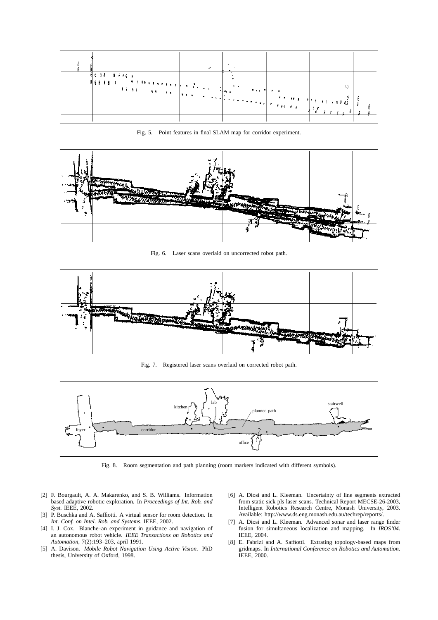

Fig. 5. Point features in final SLAM map for corridor experiment.



Fig. 6. Laser scans overlaid on uncorrected robot path.



Fig. 7. Registered laser scans overlaid on corrected robot path.



Fig. 8. Room segmentation and path planning (room markers indicated with different symbols).

- [2] F. Bourgault, A. A. Makarenko, and S. B. Williams. Information based adaptive robotic exploration. In *Proceedings of Int. Rob. and Syst.* IEEE, 2002.
- [3] P. Buschka and A. Saffiotti. A virtual sensor for room detection. In *Int. Conf. on Intel. Rob. and Systems*. IEEE, 2002.
- [4] I. J. Cox. Blanche–an experiment in guidance and navigation of an autonomous robot vehicle. *IEEE Transactions on Robotics and Automation*, 7(2):193–203, april 1991.
- [5] A. Davison. *Mobile Robot Navigation Using Active Vision*. PhD thesis, University of Oxford, 1998.
- [6] A. Diosi and L. Kleeman. Uncertainty of line segments extracted from static sick pls laser scans. Technical Report MECSE-26-2003, Intelligent Robotics Research Centre, Monash University, 2003. Available: http://www.ds.eng.monash.edu.au/techrep/reports/.
- [7] A. Diosi and L. Kleeman. Advanced sonar and laser range finder fusion for simultaneous localization and mapping. In *IROS'04*. IEEE, 2004.
- [8] E. Fabrizi and A. Saffiotti. Extrating topology-based maps from gridmaps. In *International Conference on Robotics and Automation*. IEEE, 2000.